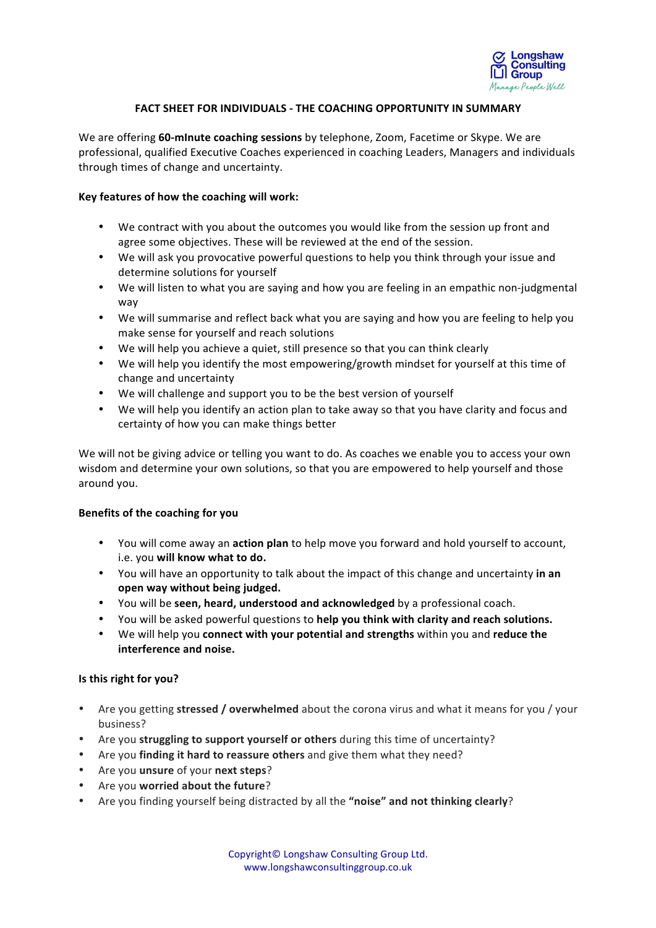

## **FACT SHEET FOR INDIVIDUALS - THE COACHING OPPORTUNITY IN SUMMARY**

We are offering 60-minute coaching sessions by telephone, Zoom, Facetime or Skype. We are professional, qualified Executive Coaches experienced in coaching Leaders, Managers and individuals through times of change and uncertainty.

## **Key features of how the coaching will work:**

- We contract with you about the outcomes you would like from the session up front and agree some objectives. These will be reviewed at the end of the session.
- We will ask you provocative powerful questions to help you think through your issue and determine solutions for yourself
- We will listen to what you are saying and how you are feeling in an empathic non-judgmental way
- We will summarise and reflect back what you are saying and how you are feeling to help you make sense for vourself and reach solutions
- We will help you achieve a quiet, still presence so that you can think clearly
- We will help you identify the most empowering/growth mindset for yourself at this time of change and uncertainty
- We will challenge and support you to be the best version of yourself
- We will help you identify an action plan to take away so that you have clarity and focus and certainty of how you can make things better

We will not be giving advice or telling you want to do. As coaches we enable you to access your own wisdom and determine your own solutions, so that you are empowered to help yourself and those around you.

## **Benefits of the coaching for you**

- You will come away an **action plan** to help move you forward and hold yourself to account, i.e. you will know what to do.
- You will have an opportunity to talk about the impact of this change and uncertainty in an open way without being judged.
- You will be **seen, heard, understood and acknowledged** by a professional coach.
- You will be asked powerful questions to **help you think with clarity and reach solutions.**
- We will help you **connect with your potential and strengths** within you and **reduce the interference and noise.**

## **Is this right for you?**

- Are you getting stressed / overwhelmed about the corona virus and what it means for you / your business?
- Are you struggling to support yourself or others during this time of uncertainty?
- Are you **finding it hard to reassure others** and give them what they need?
- Are you **unsure** of your **next steps**?
- Are you **worried about the future**?
- Are you finding yourself being distracted by all the "noise" and not thinking clearly?

Copyright© Longshaw Consulting Group Ltd. www.longshawconsultinggroup.co.uk